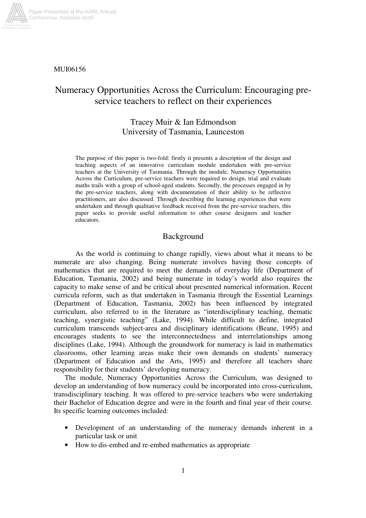

#### MUI06156

# Numeracy Opportunities Across the Curriculum: Encouraging preservice teachers to reflect on their experiences

## Tracey Muir & Ian Edmondson University of Tasmania, Launceston

The purpose of this paper is two-fold: firstly it presents a description of the design and teaching aspects of an innovative curriculum module undertaken with pre-service teachers at the University of Tasmania. Through the module, Numeracy Opportunities Across the Curriculum, pre-service teachers were required to design, trial and evaluate maths trails with a group of school-aged students. Secondly, the processes engaged in by the pre-service teachers, along with documentation of their ability to be reflective practitioners, are also discussed. Through describing the learning experiences that were undertaken and through qualitative feedback received from the pre-service teachers, this paper seeks to provide useful information to other course designers and teacher educators.

## Background

As the world is continuing to change rapidly, views about what it means to be numerate are also changing. Being numerate involves having those concepts of mathematics that are required to meet the demands of everyday life (Department of Education, Tasmania, 2002) and being numerate in today's world also requires the capacity to make sense of and be critical about presented numerical information. Recent curricula reform, such as that undertaken in Tasmania through the Essential Learnings (Department of Education, Tasmania, 2002) has been influenced by integrated curriculum, also referred to in the literature as "interdisciplinary teaching, thematic teaching, synergistic teaching" (Lake, 1994). While difficult to define, integrated curriculum transcends subject-area and disciplinary identifications (Beane, 1995) and encourages students to see the interconnectedness and interrelationships among disciplines (Lake, 1994). Although the groundwork for numeracy is laid in mathematics classrooms, other learning areas make their own demands on students' numeracy (Department of Education and the Arts, 1995) and therefore all teachers share responsibility for their students' developing numeracy.

The module, Numeracy Opportunities Across the Curriculum, was designed to develop an understanding of how numeracy could be incorporated into cross-curriculum, transdisciplinary teaching. It was offered to pre-service teachers who were undertaking their Bachelor of Education degree and were in the fourth and final year of their course. Its specific learning outcomes included:

- Development of an understanding of the numeracy demands inherent in a particular task or unit
- How to dis-embed and re-embed mathematics as appropriate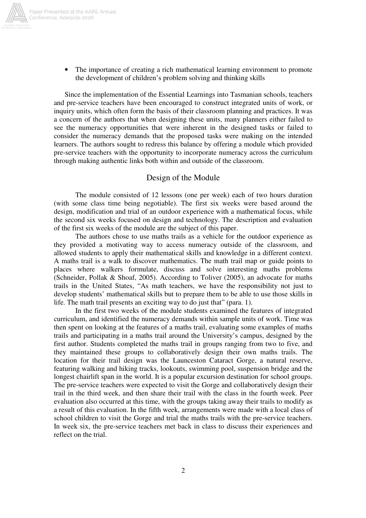

• The importance of creating a rich mathematical learning environment to promote the development of children's problem solving and thinking skills

Since the implementation of the Essential Learnings into Tasmanian schools, teachers and pre-service teachers have been encouraged to construct integrated units of work, or inquiry units, which often form the basis of their classroom planning and practices. It was a concern of the authors that when designing these units, many planners either failed to see the numeracy opportunities that were inherent in the designed tasks or failed to consider the numeracy demands that the proposed tasks were making on the intended learners. The authors sought to redress this balance by offering a module which provided pre-service teachers with the opportunity to incorporate numeracy across the curriculum through making authentic links both within and outside of the classroom.

## Design of the Module

The module consisted of 12 lessons (one per week) each of two hours duration (with some class time being negotiable). The first six weeks were based around the design, modification and trial of an outdoor experience with a mathematical focus, while the second six weeks focused on design and technology. The description and evaluation of the first six weeks of the module are the subject of this paper.

The authors chose to use maths trails as a vehicle for the outdoor experience as they provided a motivating way to access numeracy outside of the classroom, and allowed students to apply their mathematical skills and knowledge in a different context. A maths trail is a walk to discover mathematics. The math trail map or guide points to places where walkers formulate, discuss and solve interesting maths problems (Schneider, Pollak & Shoaf, 2005). According to Toliver (2005), an advocate for maths trails in the United States, "As math teachers, we have the responsibility not just to develop students' mathematical skills but to prepare them to be able to use those skills in life. The math trail presents an exciting way to do just that" (para. 1).

In the first two weeks of the module students examined the features of integrated curriculum, and identified the numeracy demands within sample units of work. Time was then spent on looking at the features of a maths trail, evaluating some examples of maths trails and participating in a maths trail around the University's campus, designed by the first author. Students completed the maths trail in groups ranging from two to five, and they maintained these groups to collaboratively design their own maths trails. The location for their trail design was the Launceston Cataract Gorge, a natural reserve, featuring walking and hiking tracks, lookouts, swimming pool, suspension bridge and the longest chairlift span in the world. It is a popular excursion destination for school groups. The pre-service teachers were expected to visit the Gorge and collaboratively design their trail in the third week, and then share their trail with the class in the fourth week. Peer evaluation also occurred at this time, with the groups taking away their trails to modify as a result of this evaluation. In the fifth week, arrangements were made with a local class of school children to visit the Gorge and trial the maths trails with the pre-service teachers. In week six, the pre-service teachers met back in class to discuss their experiences and reflect on the trial.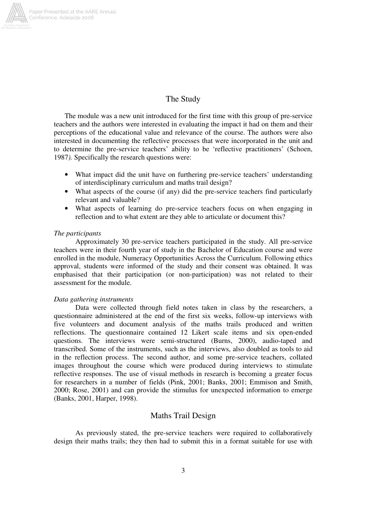

## The Study

The module was a new unit introduced for the first time with this group of pre-service teachers and the authors were interested in evaluating the impact it had on them and their perceptions of the educational value and relevance of the course. The authors were also interested in documenting the reflective processes that were incorporated in the unit and to determine the pre-service teachers' ability to be 'reflective practitioners' (Schoen, 1987*).* Specifically the research questions were:

- What impact did the unit have on furthering pre-service teachers' understanding of interdisciplinary curriculum and maths trail design?
- What aspects of the course (if any) did the pre-service teachers find particularly relevant and valuable?
- What aspects of learning do pre-service teachers focus on when engaging in reflection and to what extent are they able to articulate or document this?

#### *The participants*

Approximately 30 pre-service teachers participated in the study. All pre-service teachers were in their fourth year of study in the Bachelor of Education course and were enrolled in the module, Numeracy Opportunities Across the Curriculum. Following ethics approval, students were informed of the study and their consent was obtained. It was emphasised that their participation (or non-participation) was not related to their assessment for the module.

#### *Data gathering instruments*

Data were collected through field notes taken in class by the researchers, a questionnaire administered at the end of the first six weeks, follow-up interviews with five volunteers and document analysis of the maths trails produced and written reflections. The questionnaire contained 12 Likert scale items and six open-ended questions. The interviews were semi-structured (Burns, 2000), audio-taped and transcribed. Some of the instruments, such as the interviews, also doubled as tools to aid in the reflection process. The second author, and some pre-service teachers, collated images throughout the course which were produced during interviews to stimulate reflective responses. The use of visual methods in research is becoming a greater focus for researchers in a number of fields (Pink, 2001; Banks, 2001; Emmison and Smith, 2000; Rose, 2001) and can provide the stimulus for unexpected information to emerge (Banks, 2001, Harper, 1998).

## Maths Trail Design

As previously stated, the pre-service teachers were required to collaboratively design their maths trails; they then had to submit this in a format suitable for use with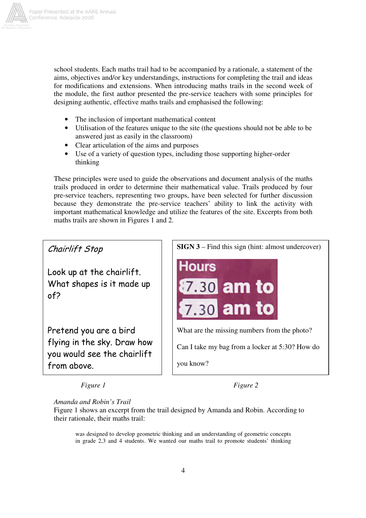

school students. Each maths trail had to be accompanied by a rationale, a statement of the aims, objectives and/or key understandings, instructions for completing the trail and ideas for modifications and extensions. When introducing maths trails in the second week of the module, the first author presented the pre-service teachers with some principles for designing authentic, effective maths trails and emphasised the following:

- The inclusion of important mathematical content
- Utilisation of the features unique to the site (the questions should not be able to be answered just as easily in the classroom)
- Clear articulation of the aims and purposes
- Use of a variety of question types, including those supporting higher-order thinking

These principles were used to guide the observations and document analysis of the maths trails produced in order to determine their mathematical value. Trails produced by four pre-service teachers, representing two groups, have been selected for further discussion because they demonstrate the pre-service teachers' ability to link the activity with important mathematical knowledge and utilize the features of the site. Excerpts from both maths trails are shown in Figures 1 and 2.

Chairlift Stop

Look up at the chairlift. What shapes is it made up  $of<sub>2</sub>$ 

Pretend you are a bird flying in the sky. Draw how you would see the chairlift from above.



*Figure 1 Figure 2*

*Amanda and Robin's Trail*

Figure 1 shows an excerpt from the trail designed by Amanda and Robin. According to their rationale, their maths trail:

was designed to develop geometric thinking and an understanding of geometric concepts in grade 2,3 and 4 students. We wanted our maths trail to promote students' thinking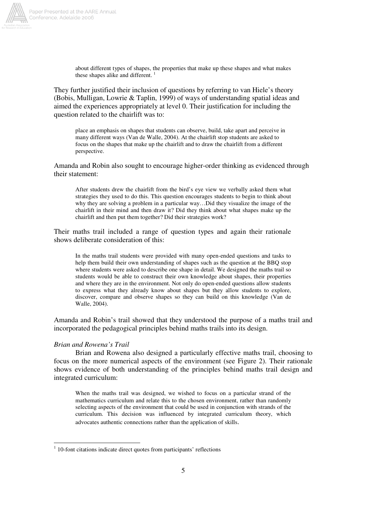

about different types of shapes, the properties that make up these shapes and what makes these shapes alike and different.

They further justified their inclusion of questions by referring to van Hiele's theory (Bobis, Mulligan, Lowrie & Taplin, 1999) of ways of understanding spatial ideas and aimed the experiences appropriately at level 0. Their justification for including the question related to the chairlift was to:

place an emphasis on shapes that students can observe, build, take apart and perceive in many different ways (Van de Walle, 2004). At the chairlift stop students are asked to focus on the shapes that make up the chairlift and to draw the chairlift from a different perspective.

Amanda and Robin also sought to encourage higher-order thinking as evidenced through their statement:

After students drew the chairlift from the bird's eye view we verbally asked them what strategies they used to do this. This question encourages students to begin to think about why they are solving a problem in a particular way…Did they visualize the image of the chairlift in their mind and then draw it? Did they think about what shapes make up the chairlift and then put them together? Did their strategies work?

Their maths trail included a range of question types and again their rationale shows deliberate consideration of this:

In the maths trail students were provided with many open-ended questions and tasks to help them build their own understanding of shapes such as the question at the BBQ stop where students were asked to describe one shape in detail. We designed the maths trail so students would be able to construct their own knowledge about shapes, their properties and where they are in the environment. Not only do open-ended questions allow students to express what they already know about shapes but they allow students to explore, discover, compare and observe shapes so they can build on this knowledge (Van de Walle, 2004).

Amanda and Robin's trail showed that they understood the purpose of a maths trail and incorporated the pedagogical principles behind maths trails into its design.

#### *Brian and Rowena's Trail*

Brian and Rowena also designed a particularly effective maths trail, choosing to focus on the more numerical aspects of the environment (see Figure 2). Their rationale shows evidence of both understanding of the principles behind maths trail design and integrated curriculum:

When the maths trail was designed, we wished to focus on a particular strand of the mathematics curriculum and relate this to the chosen environment, rather than randomly selecting aspects of the environment that could be used in conjunction with strands of the curriculum. This decision was influenced by integrated curriculum theory, which advocates authentic connections rather than the application of skills.

<sup>&</sup>lt;sup>1</sup> 10-font citations indicate direct quotes from participants' reflections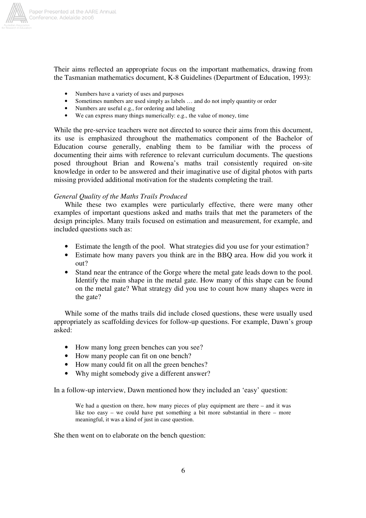

Their aims reflected an appropriate focus on the important mathematics, drawing from the Tasmanian mathematics document, K-8 Guidelines (Department of Education, 1993):

- Numbers have a variety of uses and purposes
- Sometimes numbers are used simply as labels ... and do not imply quantity or order
- Numbers are useful e.g., for ordering and labeling
- We can express many things numerically: e.g., the value of money, time

While the pre-service teachers were not directed to source their aims from this document, its use is emphasized throughout the mathematics component of the Bachelor of Education course generally, enabling them to be familiar with the process of documenting their aims with reference to relevant curriculum documents. The questions posed throughout Brian and Rowena's maths trail consistently required on-site knowledge in order to be answered and their imaginative use of digital photos with parts missing provided additional motivation for the students completing the trail.

## *General Quality of the Maths Trails Produced*

While these two examples were particularly effective, there were many other examples of important questions asked and maths trails that met the parameters of the design principles. Many trails focused on estimation and measurement, for example, and included questions such as:

- Estimate the length of the pool. What strategies did you use for your estimation?
- Estimate how many pavers you think are in the BBQ area. How did you work it out?
- Stand near the entrance of the Gorge where the metal gate leads down to the pool. Identify the main shape in the metal gate. How many of this shape can be found on the metal gate? What strategy did you use to count how many shapes were in the gate?

While some of the maths trails did include closed questions, these were usually used appropriately as scaffolding devices for follow-up questions. For example, Dawn's group asked:

- How many long green benches can you see?
- How many people can fit on one bench?
- How many could fit on all the green benches?
- Why might somebody give a different answer?

In a follow-up interview, Dawn mentioned how they included an 'easy' question:

We had a question on there, how many pieces of play equipment are there – and it was like too easy – we could have put something a bit more substantial in there – more meaningful, it was a kind of just in case question.

She then went on to elaborate on the bench question: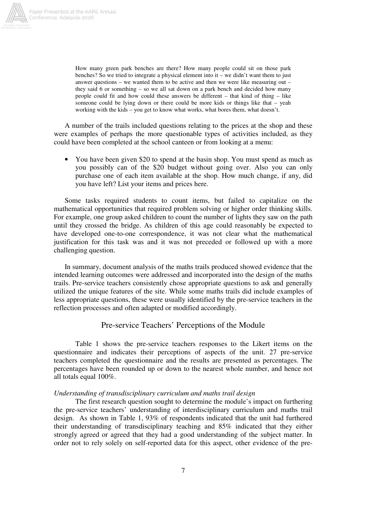

How many green park benches are there? How many people could sit on those park benches? So we tried to integrate a physical element into it – we didn't want them to just answer questions – we wanted them to be active and then we were like measuring out – they said 6 or something – so we all sat down on a park bench and decided how many people could fit and how could these answers be different – that kind of thing – like someone could be lying down or there could be more kids or things like that – yeah working with the kids – you get to know what works, what bores them, what doesn't.

A number of the trails included questions relating to the prices at the shop and these were examples of perhaps the more questionable types of activities included, as they could have been completed at the school canteen or from looking at a menu:

• You have been given \$20 to spend at the basin shop. You must spend as much as you possibly can of the \$20 budget without going over. Also you can only purchase one of each item available at the shop. How much change, if any, did you have left? List your items and prices here.

Some tasks required students to count items, but failed to capitalize on the mathematical opportunities that required problem solving or higher order thinking skills. For example, one group asked children to count the number of lights they saw on the path until they crossed the bridge. As children of this age could reasonably be expected to have developed one-to-one correspondence, it was not clear what the mathematical justification for this task was and it was not preceded or followed up with a more challenging question.

In summary, document analysis of the maths trails produced showed evidence that the intended learning outcomes were addressed and incorporated into the design of the maths trails. Pre-service teachers consistently chose appropriate questions to ask and generally utilized the unique features of the site. While some maths trails did include examples of less appropriate questions, these were usually identified by the pre-service teachers in the reflection processes and often adapted or modified accordingly.

## Pre-service Teachers' Perceptions of the Module

Table 1 shows the pre-service teachers responses to the Likert items on the questionnaire and indicates their perceptions of aspects of the unit. 27 pre-service teachers completed the questionnaire and the results are presented as percentages. The percentages have been rounded up or down to the nearest whole number, and hence not all totals equal 100%.

## *Understanding of transdisciplinary curriculum and maths trail design*

The first research question sought to determine the module's impact on furthering the pre-service teachers' understanding of interdisciplinary curriculum and maths trail design. As shown in Table 1, 93% of respondents indicated that the unit had furthered their understanding of transdisciplinary teaching and 85% indicated that they either strongly agreed or agreed that they had a good understanding of the subject matter. In order not to rely solely on self-reported data for this aspect, other evidence of the pre-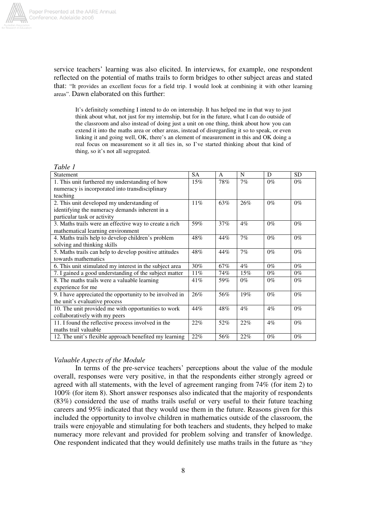

service teachers' learning was also elicited. In interviews, for example, one respondent reflected on the potential of maths trails to form bridges to other subject areas and stated that: "It provides an excellent focus for a field trip. I would look at combining it with other learning areas". Dawn elaborated on this further:

It's definitely something I intend to do on internship. It has helped me in that way to just think about what, not just for my internship, but for in the future, what I can do outside of the classroom and also instead of doing just a unit on one thing, think about how you can extend it into the maths area or other areas, instead of disregarding it so to speak, or even linking it and going well, OK, there's an element of measurement in this and OK doing a real focus on measurement so it all ties in, so I've started thinking about that kind of thing, so it's not all segregated.

| Table 1                                                 |           |              |        |       |           |
|---------------------------------------------------------|-----------|--------------|--------|-------|-----------|
| <b>Statement</b>                                        | <b>SA</b> | $\mathsf{A}$ | N      | D     | <b>SD</b> |
| 1. This unit furthered my understanding of how          | $15\%$    | 78%          | 7%     | $0\%$ | $0\%$     |
| numeracy is incorporated into transdisciplinary         |           |              |        |       |           |
| teaching                                                |           |              |        |       |           |
| 2. This unit developed my understanding of              | 11%       | 63%          | 26%    | $0\%$ | $0\%$     |
| identifying the numeracy demands inherent in a          |           |              |        |       |           |
| particular task or activity                             |           |              |        |       |           |
| 3. Maths trails were an effective way to create a rich  | 59%       | 37%          | $4\%$  | $0\%$ | $0\%$     |
| mathematical learning environment                       |           |              |        |       |           |
| 4. Maths trails help to develop children's problem      | 48%       | 44%          | 7%     | $0\%$ | $0\%$     |
| solving and thinking skills                             |           |              |        |       |           |
| 5. Maths trails can help to develop positive attitudes  | 48%       | 44%          | 7%     | $0\%$ | $0\%$     |
| towards mathematics                                     |           |              |        |       |           |
| 6. This unit stimulated my interest in the subject area | 30%       | 67%          | $4\%$  | $0\%$ | $0\%$     |
| 7. I gained a good understanding of the subject matter  | 11%       | 74%          | $15\%$ | $0\%$ | $0\%$     |
| 8. The maths trails were a valuable learning            | 41%       | 59%          | $0\%$  | $0\%$ | $0\%$     |
| experience for me                                       |           |              |        |       |           |
| 9. I have appreciated the opportunity to be involved in | 26%       | 56%          | 19%    | $0\%$ | $0\%$     |
| the unit's evaluative process                           |           |              |        |       |           |
| 10. The unit provided me with opportunities to work     | 44%       | 48%          | $4\%$  | $4\%$ | $0\%$     |
| collaboratively with my peers                           |           |              |        |       |           |
| 11. I found the reflective process involved in the      | 22%       | 52%          | 22%    | $4\%$ | $0\%$     |
| maths trail valuable                                    |           |              |        |       |           |
| 12. The unit's flexible approach benefited my learning  | 22%       | 56%          | 22%    | $0\%$ | $0\%$     |

## *Valuable Aspects of the Module*

In terms of the pre-service teachers' perceptions about the value of the module overall, responses were very positive, in that the respondents either strongly agreed or agreed with all statements, with the level of agreement ranging from 74% (for item 2) to 100% (for item 8). Short answer responses also indicated that the majority of respondents (83%) considered the use of maths trails useful or very useful to their future teaching careers and 95% indicated that they would use them in the future. Reasons given for this included the opportunity to involve children in mathematics outside of the classroom, the trails were enjoyable and stimulating for both teachers and students, they helped to make numeracy more relevant and provided for problem solving and transfer of knowledge. One respondent indicated that they would definitely use maths trails in the future as "they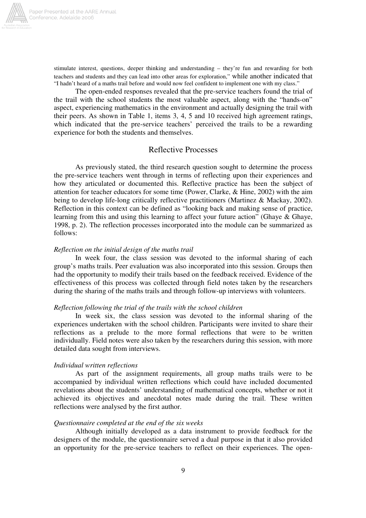

stimulate interest, questions, deeper thinking and understanding – they're fun and rewarding for both teachers and students and they can lead into other areas for exploration," while another indicated that "I hadn't heard of a maths trail before and would now feel confident to implement one with my class."

The open-ended responses revealed that the pre-service teachers found the trial of the trail with the school students the most valuable aspect, along with the "hands-on" aspect, experiencing mathematics in the environment and actually designing the trail with their peers. As shown in Table 1, items 3, 4, 5 and 10 received high agreement ratings, which indicated that the pre-service teachers' perceived the trails to be a rewarding experience for both the students and themselves.

## Reflective Processes

As previously stated, the third research question sought to determine the process the pre-service teachers went through in terms of reflecting upon their experiences and how they articulated or documented this. Reflective practice has been the subject of attention for teacher educators for some time (Power, Clarke, & Hine, 2002) with the aim being to develop life-long critically reflective practitioners (Martinez & Mackay, 2002). Reflection in this context can be defined as "looking back and making sense of practice, learning from this and using this learning to affect your future action" (Ghaye & Ghaye, 1998, p. 2). The reflection processes incorporated into the module can be summarized as follows:

#### *Reflection on the initial design of the maths trail*

In week four, the class session was devoted to the informal sharing of each group's maths trails. Peer evaluation was also incorporated into this session. Groups then had the opportunity to modify their trails based on the feedback received. Evidence of the effectiveness of this process was collected through field notes taken by the researchers during the sharing of the maths trails and through follow-up interviews with volunteers.

#### *Reflection following the trial of the trails with the school children*

In week six, the class session was devoted to the informal sharing of the experiences undertaken with the school children. Participants were invited to share their reflections as a prelude to the more formal reflections that were to be written individually. Field notes were also taken by the researchers during this session, with more detailed data sought from interviews.

#### *Individual written reflections*

As part of the assignment requirements, all group maths trails were to be accompanied by individual written reflections which could have included documented revelations about the students' understanding of mathematical concepts, whether or not it achieved its objectives and anecdotal notes made during the trail. These written reflections were analysed by the first author.

#### *Questionnaire completed at the end of the six weeks*

Although initially developed as a data instrument to provide feedback for the designers of the module, the questionnaire served a dual purpose in that it also provided an opportunity for the pre-service teachers to reflect on their experiences. The open-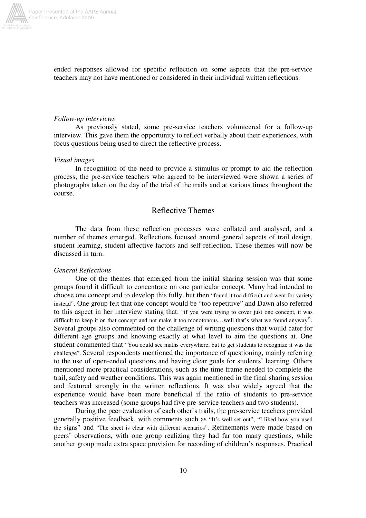

ended responses allowed for specific reflection on some aspects that the pre-service teachers may not have mentioned or considered in their individual written reflections.

#### *Follow-up interviews*

As previously stated, some pre-service teachers volunteered for a follow-up interview. This gave them the opportunity to reflect verbally about their experiences, with focus questions being used to direct the reflective process.

#### *Visual images*

In recognition of the need to provide a stimulus or prompt to aid the reflection process, the pre-service teachers who agreed to be interviewed were shown a series of photographs taken on the day of the trial of the trails and at various times throughout the course.

## Reflective Themes

The data from these reflection processes were collated and analysed, and a number of themes emerged. Reflections focused around general aspects of trail design, student learning, student affective factors and self-reflection. These themes will now be discussed in turn.

#### *General Reflections*

One of the themes that emerged from the initial sharing session was that some groups found it difficult to concentrate on one particular concept. Many had intended to choose one concept and to develop this fully, but then "found it too difficult and went for variety instead". One group felt that one concept would be "too repetitive" and Dawn also referred to this aspect in her interview stating that: "if you were trying to cover just one concept, it was difficult to keep it on that concept and not make it too monotonous...well that's what we found anyway". Several groups also commented on the challenge of writing questions that would cater for different age groups and knowing exactly at what level to aim the questions at. One student commented that "You could see maths everywhere, but to get students to recognize it was the challenge". Several respondents mentioned the importance of questioning, mainly referring to the use of open-ended questions and having clear goals for students' learning. Others mentioned more practical considerations, such as the time frame needed to complete the trail, safety and weather conditions. This was again mentioned in the final sharing session and featured strongly in the written reflections. It was also widely agreed that the experience would have been more beneficial if the ratio of students to pre-service teachers was increased (some groups had five pre-service teachers and two students).

During the peer evaluation of each other's trails, the pre-service teachers provided generally positive feedback, with comments such as "It's well set out", "I liked how you used the signs" and "The sheet is clear with different scenarios". Refinements were made based on peers' observations, with one group realizing they had far too many questions, while another group made extra space provision for recording of children's responses. Practical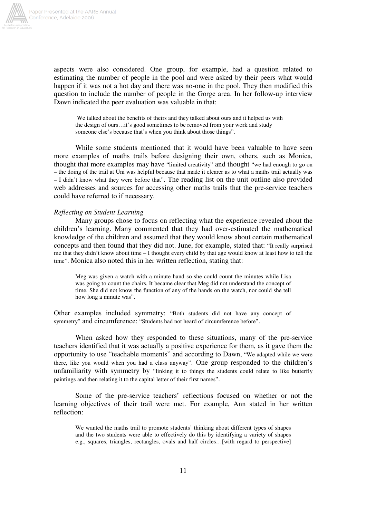

aspects were also considered. One group, for example, had a question related to estimating the number of people in the pool and were asked by their peers what would happen if it was not a hot day and there was no-one in the pool. They then modified this question to include the number of people in the Gorge area. In her follow-up interview Dawn indicated the peer evaluation was valuable in that:

We talked about the benefits of theirs and they talked about ours and it helped us with the design of ours…it's good sometimes to be removed from your work and study someone else's because that's when you think about those things".

While some students mentioned that it would have been valuable to have seen more examples of maths trails before designing their own, others, such as Monica, thought that more examples may have "limited creativity" and thought "we had enough to go on – the doing of the trail at Uni was helpful because that made it clearer as to what a maths trail actually was – I didn't know what they were before that". The reading list on the unit outline also provided web addresses and sources for accessing other maths trails that the pre-service teachers could have referred to if necessary.

## *Reflecting on Student Learning*

Many groups chose to focus on reflecting what the experience revealed about the children's learning. Many commented that they had over-estimated the mathematical knowledge of the children and assumed that they would know about certain mathematical concepts and then found that they did not. June, for example, stated that: "It really surprised me that they didn't know about time – I thought every child by that age would know at least how to tell the time". Monica also noted this in her written reflection, stating that:

Meg was given a watch with a minute hand so she could count the minutes while Lisa was going to count the chairs. It became clear that Meg did not understand the concept of time. She did not know the function of any of the hands on the watch, nor could she tell how long a minute was".

Other examples included symmetry: "Both students did not have any concept of symmetry" and circumference: "Students had not heard of circumference before".

When asked how they responded to these situations, many of the pre-service teachers identified that it was actually a positive experience for them, as it gave them the opportunity to use "teachable moments" and according to Dawn, "We adapted while we were there, like you would when you had a class anyway". One group responded to the children's unfamiliarity with symmetry by "linking it to things the students could relate to like butterfly paintings and then relating it to the capital letter of their first names".

Some of the pre-service teachers' reflections focused on whether or not the learning objectives of their trail were met. For example, Ann stated in her written reflection:

We wanted the maths trail to promote students' thinking about different types of shapes and the two students were able to effectively do this by identifying a variety of shapes e.g., squares, triangles, rectangles, ovals and half circles…[with regard to perspective]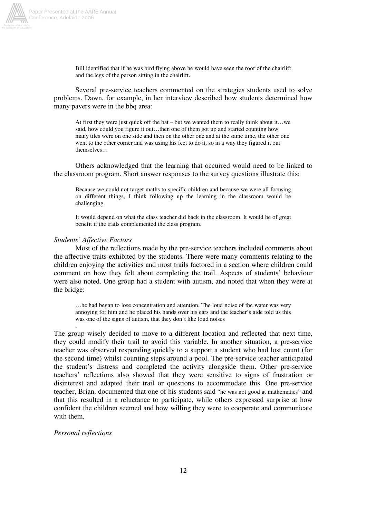

Bill identified that if he was bird flying above he would have seen the roof of the chairlift and the legs of the person sitting in the chairlift.

Several pre-service teachers commented on the strategies students used to solve problems. Dawn, for example, in her interview described how students determined how many pavers were in the bbq area:

At first they were just quick off the bat – but we wanted them to really think about it…we said, how could you figure it out…then one of them got up and started counting how many tiles were on one side and then on the other one and at the same time, the other one went to the other corner and was using his feet to do it, so in a way they figured it out themselves…

Others acknowledged that the learning that occurred would need to be linked to the classroom program. Short answer responses to the survey questions illustrate this:

Because we could not target maths to specific children and because we were all focusing on different things, I think following up the learning in the classroom would be challenging.

It would depend on what the class teacher did back in the classroom. It would be of great benefit if the trails complemented the class program.

#### *Students' Affective Factors*

Most of the reflections made by the pre-service teachers included comments about the affective traits exhibited by the students. There were many comments relating to the children enjoying the activities and most trails factored in a section where children could comment on how they felt about completing the trail. Aspects of students' behaviour were also noted. One group had a student with autism, and noted that when they were at the bridge:

…he had began to lose concentration and attention. The loud noise of the water was very annoying for him and he placed his hands over his ears and the teacher's aide told us this was one of the signs of autism, that they don't like loud noises

The group wisely decided to move to a different location and reflected that next time, they could modify their trail to avoid this variable. In another situation, a pre-service teacher was observed responding quickly to a support a student who had lost count (for the second time) whilst counting steps around a pool. The pre-service teacher anticipated the student's distress and completed the activity alongside them. Other pre-service teachers' reflections also showed that they were sensitive to signs of frustration or disinterest and adapted their trail or questions to accommodate this. One pre-service teacher, Brian, documented that one of his students said "he was not good at mathematics" and that this resulted in a reluctance to participate, while others expressed surprise at how confident the children seemed and how willing they were to cooperate and communicate with them.

#### *Personal reflections*

.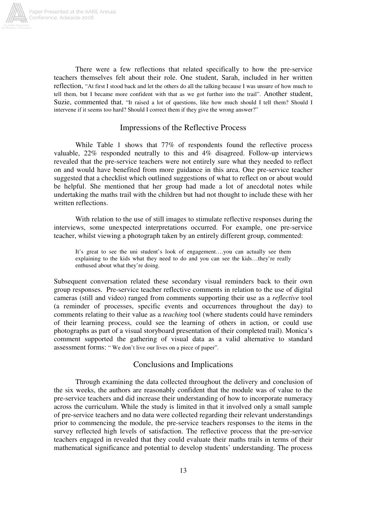

There were a few reflections that related specifically to how the pre-service teachers themselves felt about their role. One student, Sarah, included in her written reflection, "At first I stood back and let the others do all the talking because I was unsure of how much to tell them, but I became more confident with that as we got further into the trail". Another student, Suzie, commented that, "It raised a lot of questions, like how much should I tell them? Should I intervene if it seems too hard? Should I correct them if they give the wrong answer?"

## Impressions of the Reflective Process

While Table 1 shows that 77% of respondents found the reflective process valuable, 22% responded neutrally to this and 4% disagreed. Follow-up interviews revealed that the pre-service teachers were not entirely sure what they needed to reflect on and would have benefited from more guidance in this area. One pre-service teacher suggested that a checklist which outlined suggestions of what to reflect on or about would be helpful. She mentioned that her group had made a lot of anecdotal notes while undertaking the maths trail with the children but had not thought to include these with her written reflections.

With relation to the use of still images to stimulate reflective responses during the interviews, some unexpected interpretations occurred. For example, one pre-service teacher, whilst viewing a photograph taken by an entirely different group, commented:

It's great to see the uni student's look of engagement….you can actually see them explaining to the kids what they need to do and you can see the kids…they're really enthused about what they're doing.

Subsequent conversation related these secondary visual reminders back to their own group responses. Pre-service teacher reflective comments in relation to the use of digital cameras (still and video) ranged from comments supporting their use as a *reflective* tool (a reminder of processes, specific events and occurrences throughout the day) to comments relating to their value as a *teaching* tool (where students could have reminders of their learning process, could see the learning of others in action, or could use photographs as part of a visual storyboard presentation of their completed trail). Monica's comment supported the gathering of visual data as a valid alternative to standard assessment forms: " We don't live our lives on a piece of paper".

## Conclusions and Implications

Through examining the data collected throughout the delivery and conclusion of the six weeks, the authors are reasonably confident that the module was of value to the pre-service teachers and did increase their understanding of how to incorporate numeracy across the curriculum. While the study is limited in that it involved only a small sample of pre-service teachers and no data were collected regarding their relevant understandings prior to commencing the module, the pre-service teachers responses to the items in the survey reflected high levels of satisfaction. The reflective process that the pre-service teachers engaged in revealed that they could evaluate their maths trails in terms of their mathematical significance and potential to develop students' understanding. The process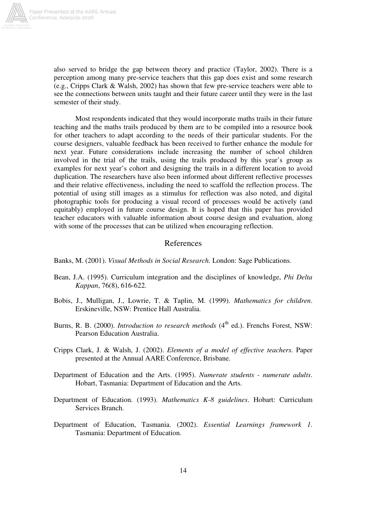

also served to bridge the gap between theory and practice (Taylor, 2002). There is a perception among many pre-service teachers that this gap does exist and some research (e.g., Cripps Clark & Walsh, 2002) has shown that few pre-service teachers were able to see the connections between units taught and their future career until they were in the last semester of their study.

Most respondents indicated that they would incorporate maths trails in their future teaching and the maths trails produced by them are to be compiled into a resource book for other teachers to adapt according to the needs of their particular students. For the course designers, valuable feedback has been received to further enhance the module for next year. Future considerations include increasing the number of school children involved in the trial of the trails, using the trails produced by this year's group as examples for next year's cohort and designing the trails in a different location to avoid duplication. The researchers have also been informed about different reflective processes and their relative effectiveness, including the need to scaffold the reflection process. The potential of using still images as a stimulus for reflection was also noted, and digital photographic tools for producing a visual record of processes would be actively (and equitably) employed in future course design. It is hoped that this paper has provided teacher educators with valuable information about course design and evaluation, along with some of the processes that can be utilized when encouraging reflection.

## References

Banks, M. (2001). *Visual Methods in Social Research.* London: Sage Publications.

- Bean, J.A. (1995). Curriculum integration and the disciplines of knowledge, *Phi Delta Kappan*, 76(8), 616-622.
- Bobis, J., Mulligan, J., Lowrie, T. & Taplin, M. (1999). *Mathematics for children*. Erskineville, NSW: Prentice Hall Australia.
- Burns, R. B. (2000). *Introduction to research methods* (4<sup>th</sup> ed.). Frenchs Forest, NSW: Pearson Education Australia.
- Cripps Clark, J. & Walsh, J. (2002). *Elements of a model of effective teachers.* Paper presented at the Annual AARE Conference, Brisbane.
- Department of Education and the Arts. (1995). *Numerate students - numerate adults*. Hobart, Tasmania: Department of Education and the Arts.
- Department of Education. (1993). *Mathematics K-8 guidelines*. Hobart: Curriculum Services Branch.
- Department of Education, Tasmania. (2002). *Essential Learnings framework 1*. Tasmania: Department of Education.